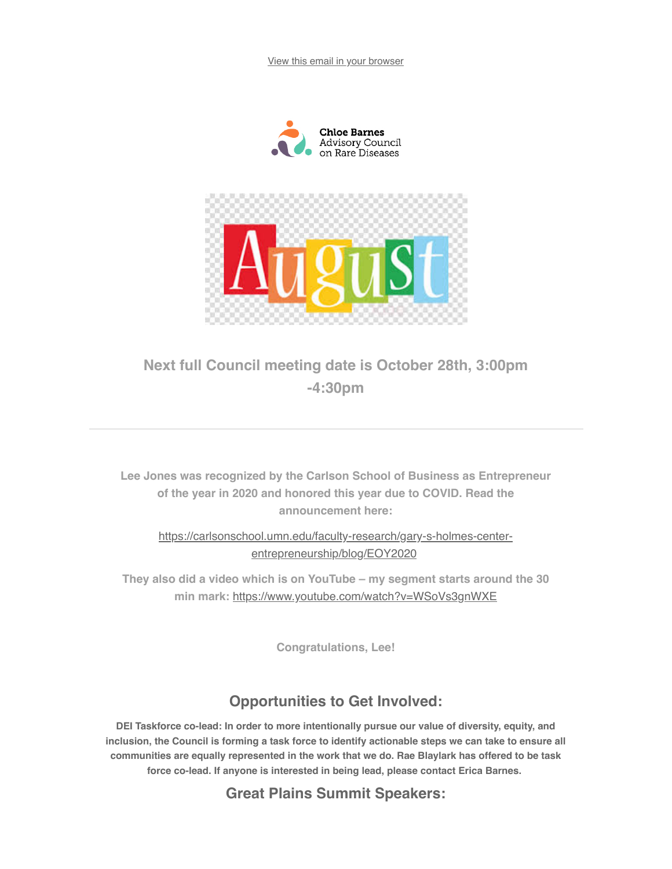View this email in your browser





## Next full Council meeting date is October 28th, 3:00pm -4:30pm

Lee Jones was recognized by the Carlson School of Business as Entrepreneur of the year in 2020 and honored this year due to COVID. Read the announcement here:

https://carlsonschool.umn.edu/faculty-research/gary-s-holmes-centerentrepreneurship/blog/EOY2020

They also did a video which is on YouTube  $-$  my segment starts around the 30 min mark: https://www.youtube.com/watch?v=WSoVs3gnWXE

Congratulations, Lee!

## Opportunities to Get Involved:

DEI Taskforce co-lead: In order to more intentionally pursue our value of diversity, equity, and inclusion, the Council is forming a task force to identify actionable steps we can take to ensure all communities are equally represented in the work that we do. Rae Blaylark has offered to be task force co-lead. If anyone is interested in being lead, please contact Erica Barnes.

**Great Plains Summit Speakers:**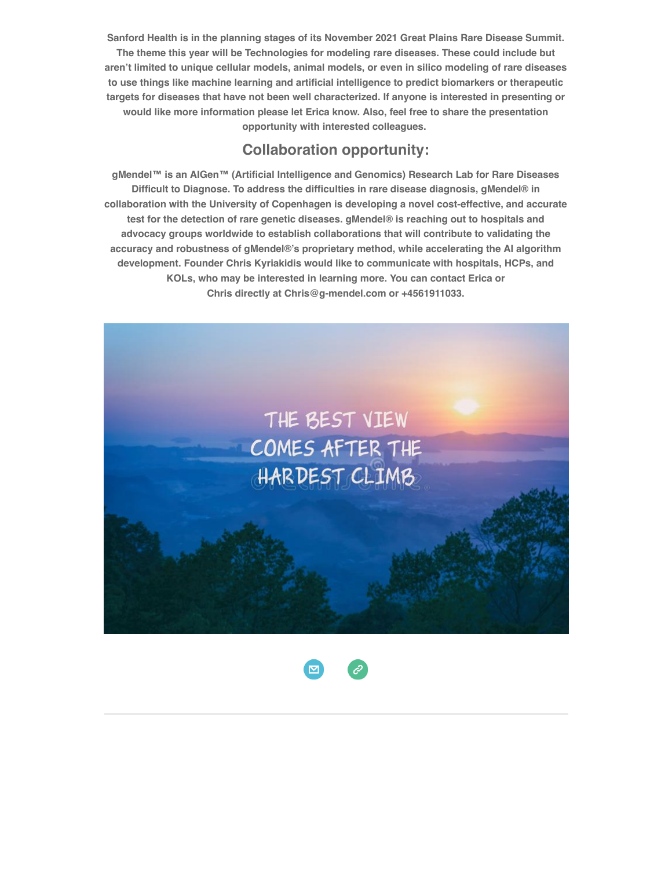Sanford Health is in the planning stages of its November 2021 Great Plains Rare Disease Summit. The theme this year will be Technologies for modeling rare diseases. These could include but aren't limited to unique cellular models, animal models, or even in silico modeling of rare diseases to use things like machine learning and artificial intelligence to predict biomarkers or therapeutic targets for diseases that have not been well characterized. If anyone is interested in presenting or would like more information please let Erica know. Also, feel free to share the presentation opportunity with interested colleagues.

## Collaboration opportunity:

gMendel™ is an AlGen™ (Artificial Intelligence and Genomics) Research Lab for Rare Diseases Difficult to Diagnose. To address the difficulties in rare disease diagnosis, gMendel® in collaboration with the University of Copenhagen is developing a novel cost-effective, and accurate test for the detection of rare genetic diseases. gMendel® is reaching out to hospitals and advocacy groups worldwide to establish collaborations that will contribute to validating the accuracy and robustness of gMendel®·s proprietary method, while accelerating the AI algorithm development. Founder Chris Kyriakidis would like to communicate with hospitals, HCPs, and KOLs, who may be interested in learning more. You can contact Erica or Chris directly at Chris@g-mendel.com or +4561911033.